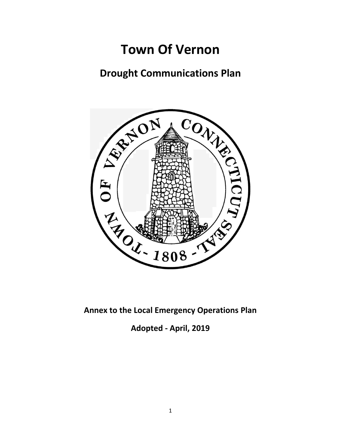# **Town Of Vernon**

# **Drought Communications Plan**



**Adopted - April, 2019**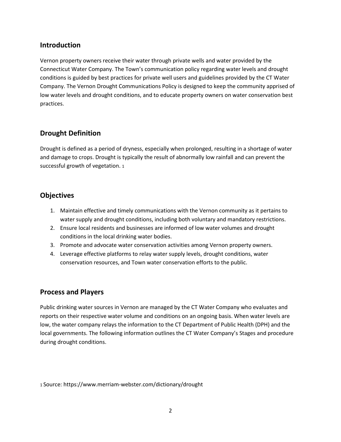# **Introduction**

Vernon property owners receive their water through private wells and water provided by the Connecticut Water Company. The Town's communication policy regarding water levels and drought conditions is guided by best practices for private well users and guidelines provided by the CT Water Company. The Vernon Drought Communications Policy is designed to keep the community apprised of low water levels and drought conditions, and to educate property owners on water conservation best practices.

# **Drought Definition**

Drought is defined as a period of dryness, especially when prolonged, resulting in a shortage of water and damage to crops. Drought is typically the result of abnormally low rainfall and can prevent the successful growth of vegetation. 1

# **Objectives**

- 1. Maintain effective and timely communications with the Vernon community as it pertains to water supply and drought conditions, including both voluntary and mandatory restrictions.
- 2. Ensure local residents and businesses are informed of low water volumes and drought conditions in the local drinking water bodies.
- 3. Promote and advocate water conservation activities among Vernon property owners.
- 4. Leverage effective platforms to relay water supply levels, drought conditions, water conservation resources, and Town water conservation efforts to the public.

# **Process and Players**

Public drinking water sources in Vernon are managed by the CT Water Company who evaluates and reports on their respective water volume and conditions on an ongoing basis. When water levels are low, the water company relays the information to the CT Department of Public Health (DPH) and the local governments. The following information outlines the CT Water Company's Stages and procedure during drought conditions.

1 Source: https://www.merriam-webster.com/dictionary/drought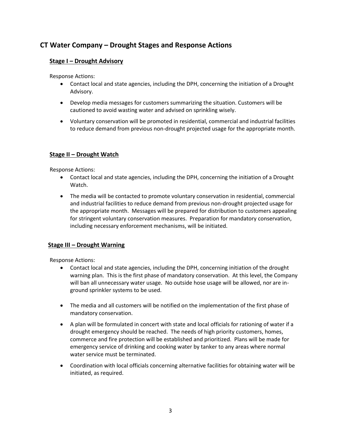# **CT Water Company – Drought Stages and Response Actions**

#### **Stage I – Drought Advisory**

Response Actions:

- Contact local and state agencies, including the DPH, concerning the initiation of a Drought Advisory.
- Develop media messages for customers summarizing the situation. Customers will be cautioned to avoid wasting water and advised on sprinkling wisely.
- Voluntary conservation will be promoted in residential, commercial and industrial facilities to reduce demand from previous non-drought projected usage for the appropriate month.

#### **Stage II – Drought Watch**

Response Actions:

- Contact local and state agencies, including the DPH, concerning the initiation of a Drought Watch.
- The media will be contacted to promote voluntary conservation in residential, commercial and industrial facilities to reduce demand from previous non-drought projected usage for the appropriate month. Messages will be prepared for distribution to customers appealing for stringent voluntary conservation measures. Preparation for mandatory conservation, including necessary enforcement mechanisms, will be initiated.

#### **Stage III – Drought Warning**

Response Actions:

- Contact local and state agencies, including the DPH, concerning initiation of the drought warning plan. This is the first phase of mandatory conservation. At this level, the Company will ban all unnecessary water usage. No outside hose usage will be allowed, nor are inground sprinkler systems to be used.
- The media and all customers will be notified on the implementation of the first phase of mandatory conservation.
- A plan will be formulated in concert with state and local officials for rationing of water if a drought emergency should be reached. The needs of high priority customers, homes, commerce and fire protection will be established and prioritized. Plans will be made for emergency service of drinking and cooking water by tanker to any areas where normal water service must be terminated.
- Coordination with local officials concerning alternative facilities for obtaining water will be initiated, as required.